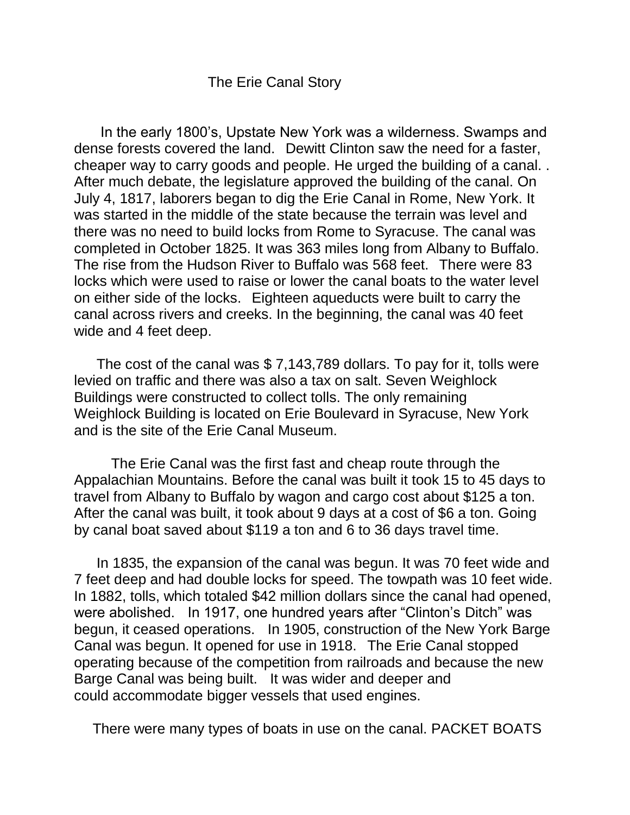## The Erie Canal Story

In the early 1800's, Upstate New York was a wilderness. Swamps and dense forests covered the land. Dewitt Clinton saw the need for a faster, cheaper way to carry goods and people. He urged the building of a canal. . After much debate, the legislature approved the building of the canal. On July 4, 1817, laborers began to dig the Erie Canal in Rome, New York. It was started in the middle of the state because the terrain was level and there was no need to build locks from Rome to Syracuse. The canal was completed in October 1825. It was 363 miles long from Albany to Buffalo. The rise from the Hudson River to Buffalo was 568 feet. There were 83 locks which were used to raise or lower the canal boats to the water level on either side of the locks. Eighteen aqueducts were built to carry the canal across rivers and creeks. In the beginning, the canal was 40 feet wide and 4 feet deep.

The cost of the canal was \$ 7,143,789 dollars. To pay for it, tolls were levied on traffic and there was also a tax on salt. Seven Weighlock Buildings were constructed to collect tolls. The only remaining Weighlock Building is located on Erie Boulevard in Syracuse, New York and is the site of the Erie Canal Museum.

The Erie Canal was the first fast and cheap route through the Appalachian Mountains. Before the canal was built it took 15 to 45 days to travel from Albany to Buffalo by wagon and cargo cost about \$125 a ton. After the canal was built, it took about 9 days at a cost of \$6 a ton. Going by canal boat saved about \$119 a ton and 6 to 36 days travel time.

In 1835, the expansion of the canal was begun. It was 70 feet wide and 7 feet deep and had double locks for speed. The towpath was 10 feet wide. In 1882, tolls, which totaled \$42 million dollars since the canal had opened, were abolished. In 1917, one hundred years after "Clinton's Ditch" was begun, it ceased operations. In 1905, construction of the New York Barge Canal was begun. It opened for use in 1918. The Erie Canal stopped operating because of the competition from railroads and because the new Barge Canal was being built. It was wider and deeper and could accommodate bigger vessels that used engines.

There were many types of boats in use on the canal. PACKET BOATS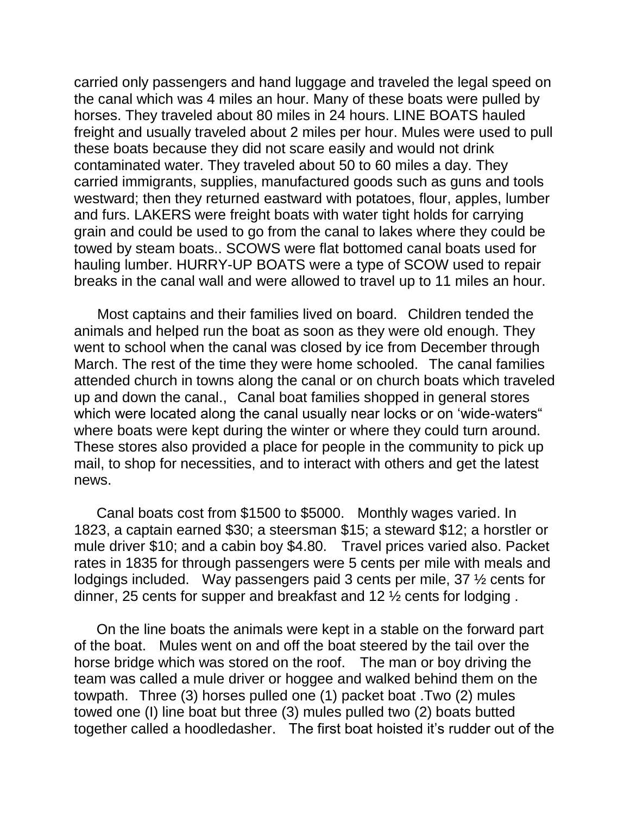carried only passengers and hand luggage and traveled the legal speed on the canal which was 4 miles an hour. Many of these boats were pulled by horses. They traveled about 80 miles in 24 hours. LINE BOATS hauled freight and usually traveled about 2 miles per hour. Mules were used to pull these boats because they did not scare easily and would not drink contaminated water. They traveled about 50 to 60 miles a day. They carried immigrants, supplies, manufactured goods such as guns and tools westward; then they returned eastward with potatoes, flour, apples, lumber and furs. LAKERS were freight boats with water tight holds for carrying grain and could be used to go from the canal to lakes where they could be towed by steam boats.. SCOWS were flat bottomed canal boats used for hauling lumber. HURRY-UP BOATS were a type of SCOW used to repair breaks in the canal wall and were allowed to travel up to 11 miles an hour.

 Most captains and their families lived on board. Children tended the animals and helped run the boat as soon as they were old enough. They went to school when the canal was closed by ice from December through March. The rest of the time they were home schooled. The canal families attended church in towns along the canal or on church boats which traveled up and down the canal., Canal boat families shopped in general stores which were located along the canal usually near locks or on 'wide-waters" where boats were kept during the winter or where they could turn around. These stores also provided a place for people in the community to pick up mail, to shop for necessities, and to interact with others and get the latest news.

Canal boats cost from \$1500 to \$5000. Monthly wages varied. In 1823, a captain earned \$30; a steersman \$15; a steward \$12; a horstler or mule driver \$10; and a cabin boy \$4.80. Travel prices varied also. Packet rates in 1835 for through passengers were 5 cents per mile with meals and lodgings included. Way passengers paid 3 cents per mile, 37 ½ cents for dinner, 25 cents for supper and breakfast and 12 ½ cents for lodging .

On the line boats the animals were kept in a stable on the forward part of the boat. Mules went on and off the boat steered by the tail over the horse bridge which was stored on the roof. The man or boy driving the team was called a mule driver or hoggee and walked behind them on the towpath. Three (3) horses pulled one (1) packet boat .Two (2) mules towed one (I) line boat but three (3) mules pulled two (2) boats butted together called a hoodledasher. The first boat hoisted it's rudder out of the